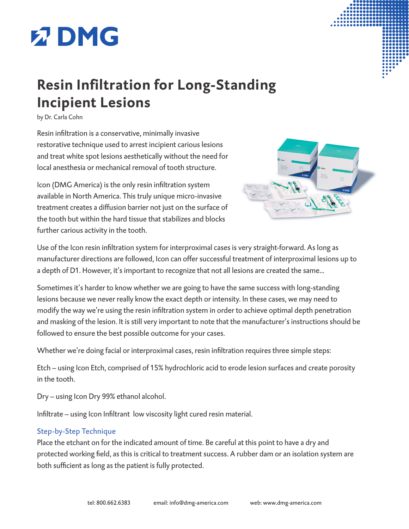

## **Resin Infiltration for Long-Standing Incipient Lesions**

by Dr. Carla Cohn

Resin infiltration is a conservative, minimally invasive restorative technique used to arrest incipient carious lesions and treat white spot lesions aesthetically without the need for local anesthesia or mechanical removal of tooth structure.

Icon (DMG America) is the only resin infiltration system available in North America. This truly unique micro-invasive treatment creates a diffusion barrier not just on the surface of the tooth but within the hard tissue that stabilizes and blocks further carious activity in the tooth.



Use of the Icon resin infiltration system for interproximal cases is very straight-forward. As long as manufacturer directions are followed, Icon can offer successful treatment of interproximal lesions up to a depth of D1. However, it's important to recognize that not all lesions are created the same...

Sometimes it's harder to know whether we are going to have the same success with long-standing lesions because we never really know the exact depth or intensity. In these cases, we may need to modify the way we're using the resin infiltration system in order to achieve optimal depth penetration and masking of the lesion. It is still very important to note that the manufacturer's instructions should be followed to ensure the best possible outcome for your cases.

Whether we're doing facial or interproximal cases, resin infiltration requires three simple steps:

Etch – using Icon Etch, comprised of 15% hydrochloric acid to erode lesion surfaces and create porosity in the tooth.

Dry – using Icon Dry 99% ethanol alcohol.

Infiltrate – using Icon Infiltrant low viscosity light cured resin material.

## Step-by-Step Technique

Place the etchant on for the indicated amount of time. Be careful at this point to have a dry and protected working field, as this is critical to treatment success. A rubber dam or an isolation system are both sufficient as long as the patient is fully protected.